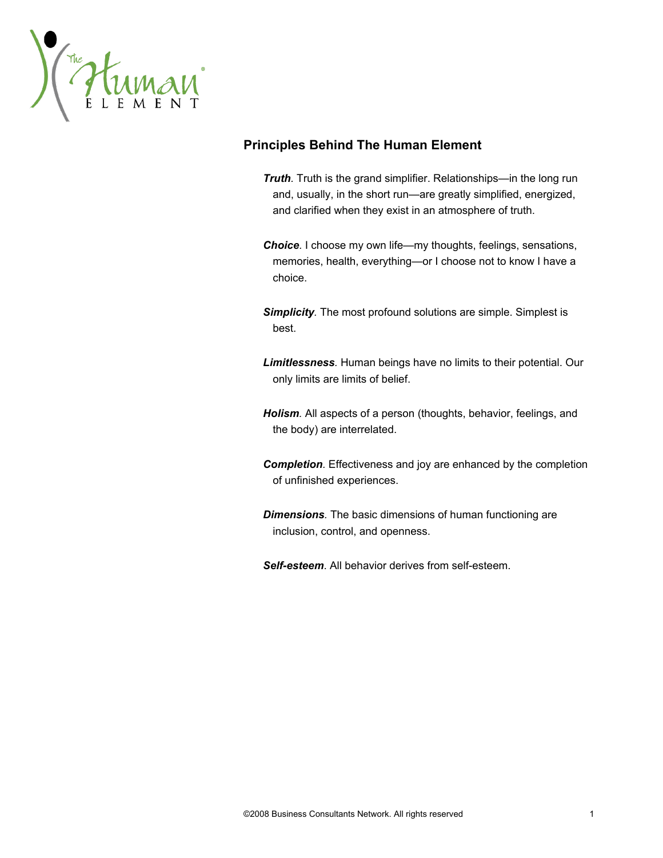

# **Principles Behind The Human Element**

- *Truth.* Truth is the grand simplifier. Relationships—in the long run and, usually, in the short run—are greatly simplified, energized, and clarified when they exist in an atmosphere of truth.
- *Choice.* I choose my own life—my thoughts, feelings, sensations, memories, health, everything—or I choose not to know I have a choice.
- *Simplicity.* The most profound solutions are simple. Simplest is best.
- *Limitlessness.* Human beings have no limits to their potential. Our only limits are limits of belief.
- *Holism.* All aspects of a person (thoughts, behavior, feelings, and the body) are interrelated.
- *Completion.* Effectiveness and joy are enhanced by the completion of unfinished experiences.
- *Dimensions.* The basic dimensions of human functioning are inclusion, control, and openness.
- *Self-esteem*. All behavior derives from self-esteem.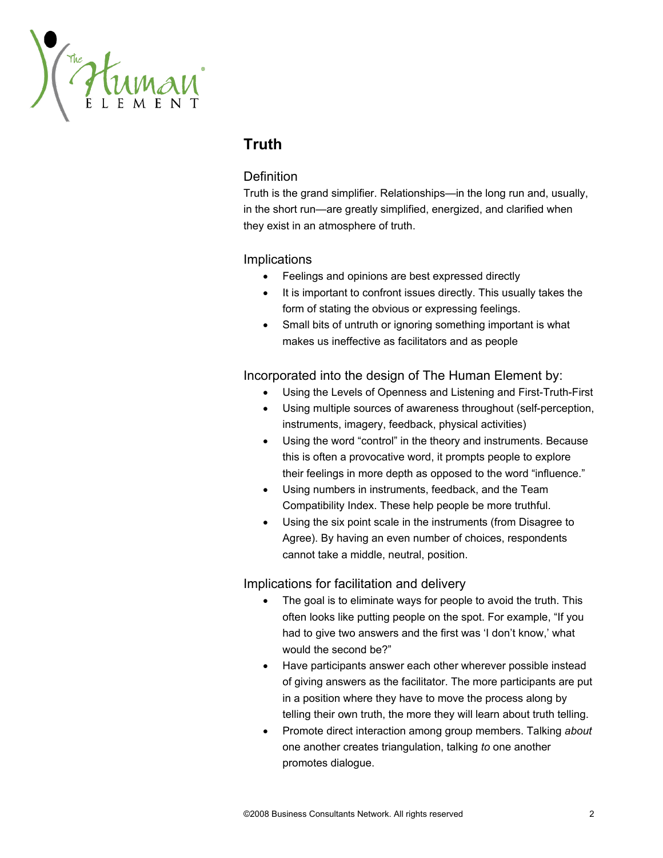

# **Truth**

## **Definition**

Truth is the grand simplifier. Relationships—in the long run and, usually, in the short run—are greatly simplified, energized, and clarified when they exist in an atmosphere of truth.

## Implications

- Feelings and opinions are best expressed directly
- It is important to confront issues directly. This usually takes the form of stating the obvious or expressing feelings.
- Small bits of untruth or ignoring something important is what makes us ineffective as facilitators and as people

## Incorporated into the design of The Human Element by:

- Using the Levels of Openness and Listening and First-Truth-First
- Using multiple sources of awareness throughout (self-perception, instruments, imagery, feedback, physical activities)
- Using the word "control" in the theory and instruments. Because this is often a provocative word, it prompts people to explore their feelings in more depth as opposed to the word "influence."
- Using numbers in instruments, feedback, and the Team Compatibility Index. These help people be more truthful.
- Using the six point scale in the instruments (from Disagree to Agree). By having an even number of choices, respondents cannot take a middle, neutral, position.

- The goal is to eliminate ways for people to avoid the truth. This often looks like putting people on the spot. For example, "If you had to give two answers and the first was 'I don't know,' what would the second be?"
- Have participants answer each other wherever possible instead of giving answers as the facilitator. The more participants are put in a position where they have to move the process along by telling their own truth, the more they will learn about truth telling.
- Promote direct interaction among group members. Talking *about* one another creates triangulation, talking *to* one another promotes dialogue.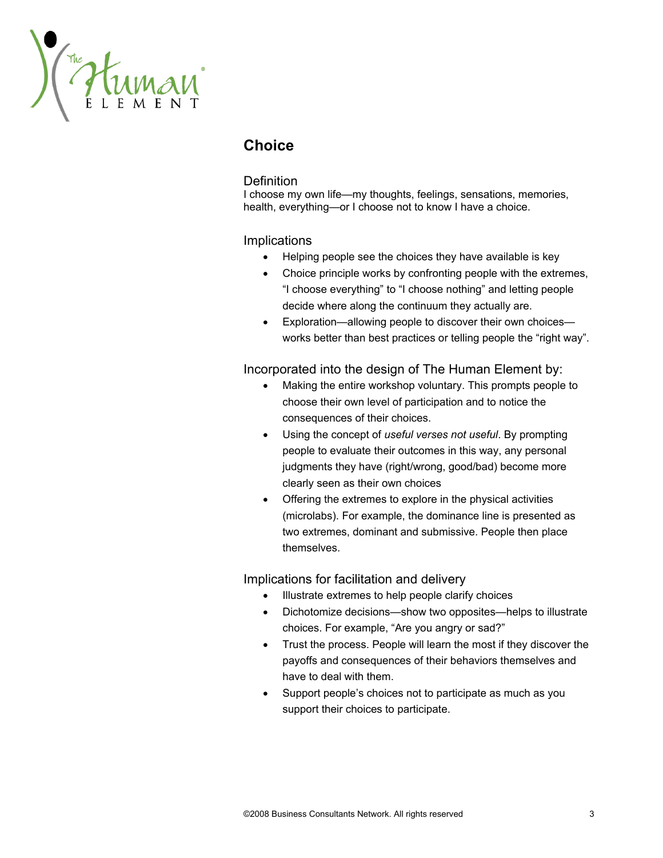THE HUMAN

# **Choice**

#### **Definition**

I choose my own life—my thoughts, feelings, sensations, memories, health, everything—or I choose not to know I have a choice.

#### **Implications**

- Helping people see the choices they have available is key
- Choice principle works by confronting people with the extremes, "I choose everything" to "I choose nothing" and letting people decide where along the continuum they actually are.
- Exploration—allowing people to discover their own choices works better than best practices or telling people the "right way".

#### Incorporated into the design of The Human Element by:

- Making the entire workshop voluntary. This prompts people to choose their own level of participation and to notice the consequences of their choices.
- Using the concept of *useful verses not useful*. By prompting people to evaluate their outcomes in this way, any personal judgments they have (right/wrong, good/bad) become more clearly seen as their own choices
- Offering the extremes to explore in the physical activities (microlabs). For example, the dominance line is presented as two extremes, dominant and submissive. People then place themselves.

- Illustrate extremes to help people clarify choices
- Dichotomize decisions—show two opposites—helps to illustrate choices. For example, "Are you angry or sad?"
- Trust the process. People will learn the most if they discover the payoffs and consequences of their behaviors themselves and have to deal with them.
- Support people's choices not to participate as much as you support their choices to participate.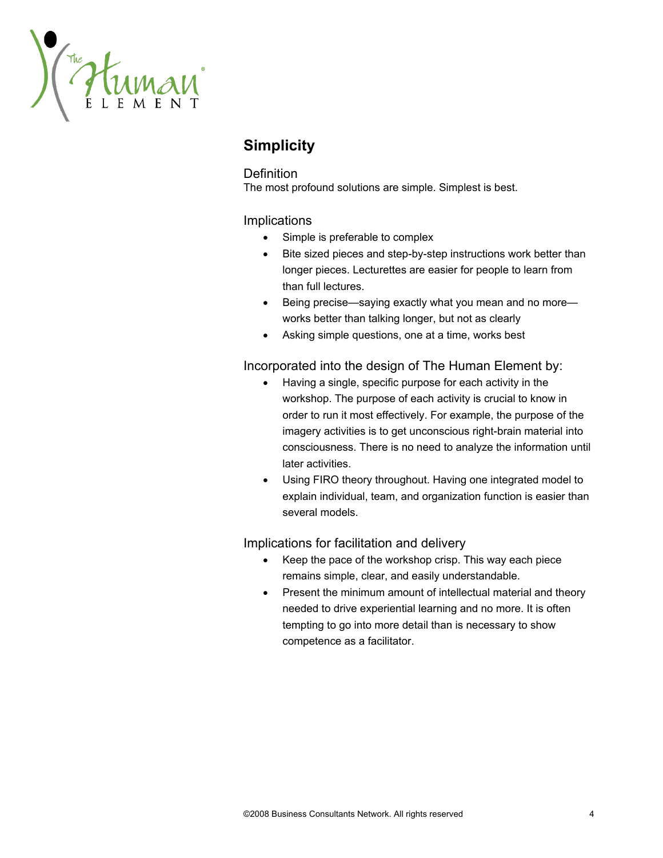The HUMAN

# **Simplicity**

## **Definition**

The most profound solutions are simple. Simplest is best.

## Implications

- Simple is preferable to complex
- Bite sized pieces and step-by-step instructions work better than longer pieces. Lecturettes are easier for people to learn from than full lectures.
- Being precise—saying exactly what you mean and no more works better than talking longer, but not as clearly
- Asking simple questions, one at a time, works best

## Incorporated into the design of The Human Element by:

- Having a single, specific purpose for each activity in the workshop. The purpose of each activity is crucial to know in order to run it most effectively. For example, the purpose of the imagery activities is to get unconscious right-brain material into consciousness. There is no need to analyze the information until later activities.
- Using FIRO theory throughout. Having one integrated model to explain individual, team, and organization function is easier than several models.

- Keep the pace of the workshop crisp. This way each piece remains simple, clear, and easily understandable.
- Present the minimum amount of intellectual material and theory needed to drive experiential learning and no more. It is often tempting to go into more detail than is necessary to show competence as a facilitator.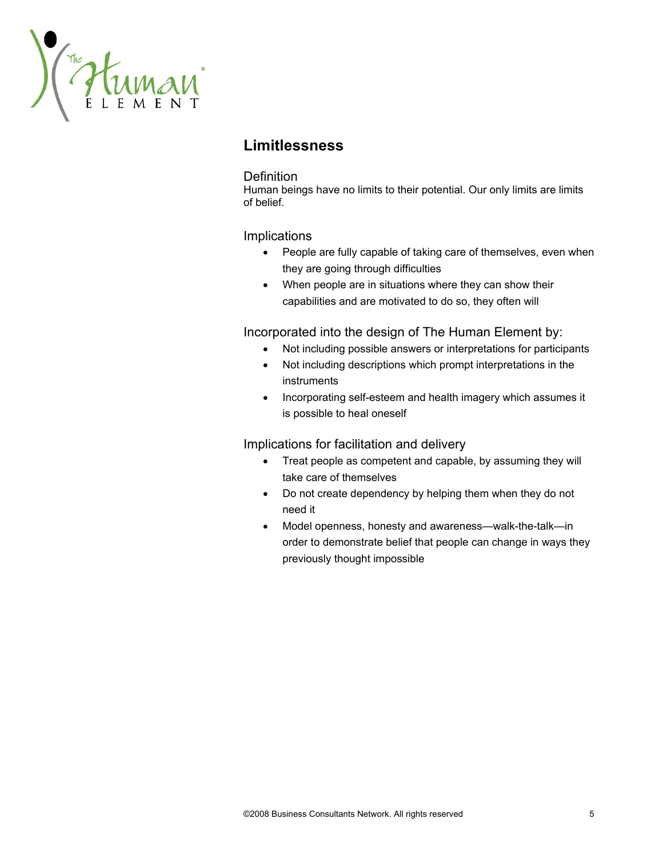The HUMAN

# **Limitlessness**

#### **Definition**

Human beings have no limits to their potential. Our only limits are limits of belief.

#### Implications

- People are fully capable of taking care of themselves, even when they are going through difficulties
- When people are in situations where they can show their capabilities and are motivated to do so, they often will

Incorporated into the design of The Human Element by:

- Not including possible answers or interpretations for participants
- Not including descriptions which prompt interpretations in the instruments
- Incorporating self-esteem and health imagery which assumes it is possible to heal oneself

- Treat people as competent and capable, by assuming they will take care of themselves
- Do not create dependency by helping them when they do not need it
- Model openness, honesty and awareness—walk-the-talk—in order to demonstrate belief that people can change in ways they previously thought impossible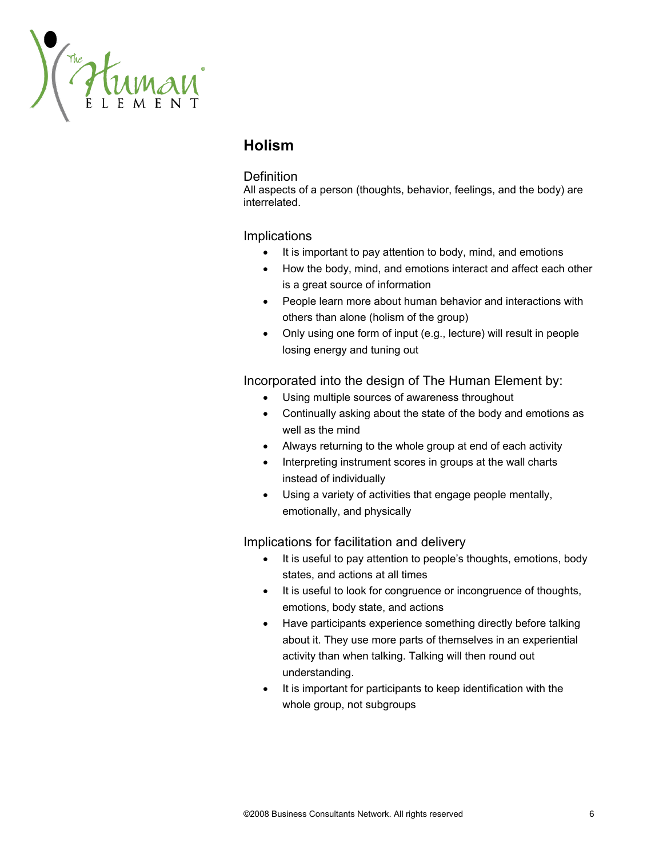The HUMAN

# **Holism**

#### **Definition**

All aspects of a person (thoughts, behavior, feelings, and the body) are interrelated.

#### Implications

- It is important to pay attention to body, mind, and emotions
- How the body, mind, and emotions interact and affect each other is a great source of information
- People learn more about human behavior and interactions with others than alone (holism of the group)
- Only using one form of input (e.g., lecture) will result in people losing energy and tuning out

#### Incorporated into the design of The Human Element by:

- Using multiple sources of awareness throughout
- Continually asking about the state of the body and emotions as well as the mind
- Always returning to the whole group at end of each activity
- Interpreting instrument scores in groups at the wall charts instead of individually
- Using a variety of activities that engage people mentally, emotionally, and physically

- It is useful to pay attention to people's thoughts, emotions, body states, and actions at all times
- It is useful to look for congruence or incongruence of thoughts, emotions, body state, and actions
- Have participants experience something directly before talking about it. They use more parts of themselves in an experiential activity than when talking. Talking will then round out understanding.
- It is important for participants to keep identification with the whole group, not subgroups